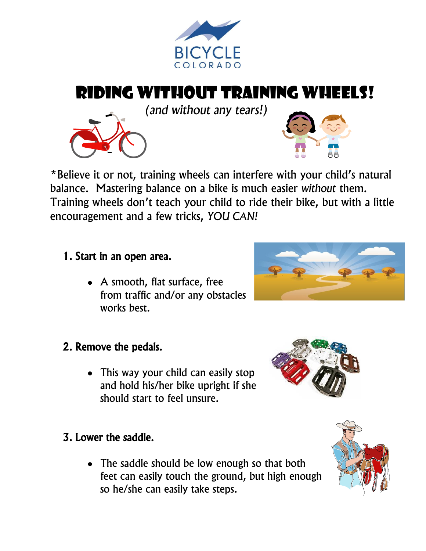

# Riding Without Training Wheels!

*(and without any tears!)*



#### 1. Start in an open area.

- A smooth, flat surface, free from traffic and/or any obstacles works best.
- 2. Remove the pedals.
	- This way your child can easily stop and hold his/her bike upright if she should start to feel unsure.

## 3. Lower the saddle.

• The saddle should be low enough so that both feet can easily touch the ground, but high enough so he/she can easily take steps.